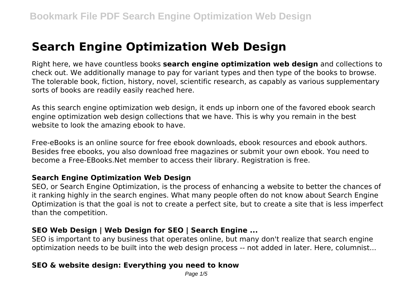# **Search Engine Optimization Web Design**

Right here, we have countless books **search engine optimization web design** and collections to check out. We additionally manage to pay for variant types and then type of the books to browse. The tolerable book, fiction, history, novel, scientific research, as capably as various supplementary sorts of books are readily easily reached here.

As this search engine optimization web design, it ends up inborn one of the favored ebook search engine optimization web design collections that we have. This is why you remain in the best website to look the amazing ebook to have.

Free-eBooks is an online source for free ebook downloads, ebook resources and ebook authors. Besides free ebooks, you also download free magazines or submit your own ebook. You need to become a Free-EBooks.Net member to access their library. Registration is free.

#### **Search Engine Optimization Web Design**

SEO, or Search Engine Optimization, is the process of enhancing a website to better the chances of it ranking highly in the search engines. What many people often do not know about Search Engine Optimization is that the goal is not to create a perfect site, but to create a site that is less imperfect than the competition.

#### **SEO Web Design | Web Design for SEO | Search Engine ...**

SEO is important to any business that operates online, but many don't realize that search engine optimization needs to be built into the web design process -- not added in later. Here, columnist...

## **SEO & website design: Everything you need to know**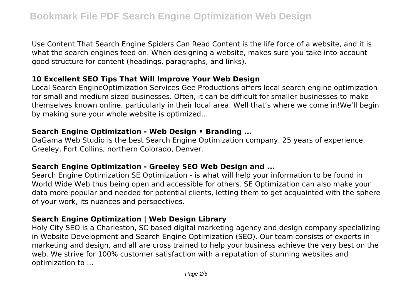Use Content That Search Engine Spiders Can Read Content is the life force of a website, and it is what the search engines feed on. When designing a website, makes sure you take into account good structure for content (headings, paragraphs, and links).

#### **10 Excellent SEO Tips That Will Improve Your Web Design**

Local Search EngineOptimization Services Gee Productions offers local search engine optimization for small and medium sized businesses. Often, it can be difficult for smaller businesses to make themselves known online, particularly in their local area. Well that's where we come in!We'll begin by making sure your whole website is optimized…

#### **Search Engine Optimization - Web Design • Branding ...**

DaGama Web Studio is the best Search Engine Optimization company. 25 years of experience. Greeley, Fort Collins, northern Colorado, Denver.

#### **Search Engine Optimization - Greeley SEO Web Design and ...**

Search Engine Optimization SE Optimization - is what will help your information to be found in World Wide Web thus being open and accessible for others. SE Optimization can also make your data more popular and needed for potential clients, letting them to get acquainted with the sphere of your work, its nuances and perspectives.

## **Search Engine Optimization | Web Design Library**

Holy City SEO is a Charleston, SC based digital marketing agency and design company specializing in Website Development and Search Engine Optimization (SEO). Our team consists of experts in marketing and design, and all are cross trained to help your business achieve the very best on the web. We strive for 100% customer satisfaction with a reputation of stunning websites and optimization to ...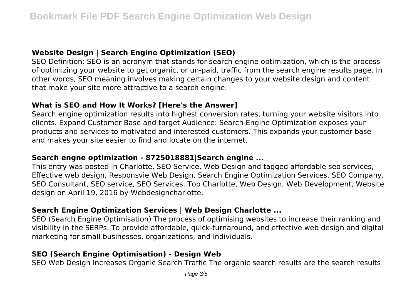## **Website Design | Search Engine Optimization (SEO)**

SEO Definition: SEO is an acronym that stands for search engine optimization, which is the process of optimizing your website to get organic, or un-paid, traffic from the search engine results page. In other words, SEO meaning involves making certain changes to your website design and content that make your site more attractive to a search engine.

## **What is SEO and How It Works? [Here's the Answer]**

Search engine optimization results into highest conversion rates, turning your website visitors into clients. Expand Customer Base and target Audience: Search Engine Optimization exposes your products and services to motivated and interested customers. This expands your customer base and makes your site easier to find and locate on the internet.

#### **Search engne optimization - 8725018881|Search engine ...**

This entry was posted in Charlotte, SEO Service, Web Design and tagged affordable seo services, Effective web design, Responsvie Web Design, Search Engine Optimization Services, SEO Company, SEO Consultant, SEO service, SEO Services, Top Charlotte, Web Design, Web Development, Website design on April 19, 2016 by Webdesigncharlotte.

## **Search Engine Optimization Services | Web Design Charlotte ...**

SEO (Search Engine Optimisation) The process of optimising websites to increase their ranking and visibility in the SERPs. To provide affordable, quick-turnaround, and effective web design and digital marketing for small businesses, organizations, and individuals.

## **SEO (Search Engine Optimisation) - Design Web**

SEO Web Design Increases Organic Search Traffic The organic search results are the search results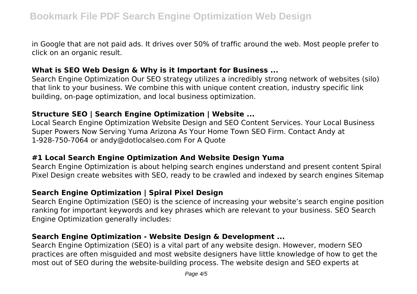in Google that are not paid ads. It drives over 50% of traffic around the web. Most people prefer to click on an organic result.

#### **What is SEO Web Design & Why is it Important for Business ...**

Search Engine Optimization Our SEO strategy utilizes a incredibly strong network of websites (silo) that link to your business. We combine this with unique content creation, industry specific link building, on-page optimization, and local business optimization.

#### **Structure SEO | Search Engine Optimization | Website ...**

Local Search Engine Optimization Website Design and SEO Content Services. Your Local Business Super Powers Now Serving Yuma Arizona As Your Home Town SEO Firm. Contact Andy at 1-928-750-7064 or andy@dotlocalseo.com For A Quote

#### **#1 Local Search Engine Optimization And Website Design Yuma**

Search Engine Optimization is about helping search engines understand and present content Spiral Pixel Design create websites with SEO, ready to be crawled and indexed by search engines Sitemap

## **Search Engine Optimization | Spiral Pixel Design**

Search Engine Optimization (SEO) is the science of increasing your website's search engine position ranking for important keywords and key phrases which are relevant to your business. SEO Search Engine Optimization generally includes:

#### **Search Engine Optimization - Website Design & Development ...**

Search Engine Optimization (SEO) is a vital part of any website design. However, modern SEO practices are often misguided and most website designers have little knowledge of how to get the most out of SEO during the website-building process. The website design and SEO experts at